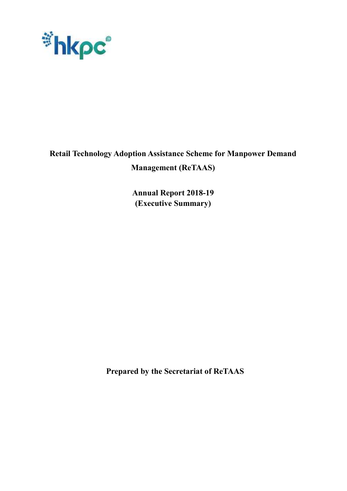

# **Retail Technology Adoption Assistance Scheme for Manpower Demand**

## **Management (ReTAAS)**

**Annual Report 2018-19 (Executive Summary)**

**Prepared by the Secretariat of ReTAAS**